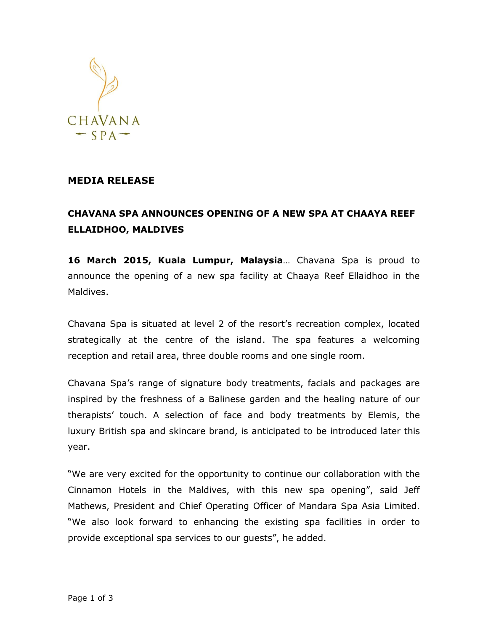

## **MEDIA RELEASE**

## **CHAVANA SPA ANNOUNCES OPENING OF A NEW SPA AT CHAAYA REEF ELLAIDHOO, MALDIVES**

**16 March 2015, Kuala Lumpur, Malaysia**… Chavana Spa is proud to announce the opening of a new spa facility at Chaaya Reef Ellaidhoo in the Maldives.

Chavana Spa is situated at level 2 of the resort's recreation complex, located strategically at the centre of the island. The spa features a welcoming reception and retail area, three double rooms and one single room.

Chavana Spa's range of signature body treatments, facials and packages are inspired by the freshness of a Balinese garden and the healing nature of our therapists' touch. A selection of face and body treatments by Elemis, the luxury British spa and skincare brand, is anticipated to be introduced later this year.

"We are very excited for the opportunity to continue our collaboration with the Cinnamon Hotels in the Maldives, with this new spa opening", said Jeff Mathews, President and Chief Operating Officer of Mandara Spa Asia Limited. "We also look forward to enhancing the existing spa facilities in order to provide exceptional spa services to our guests", he added.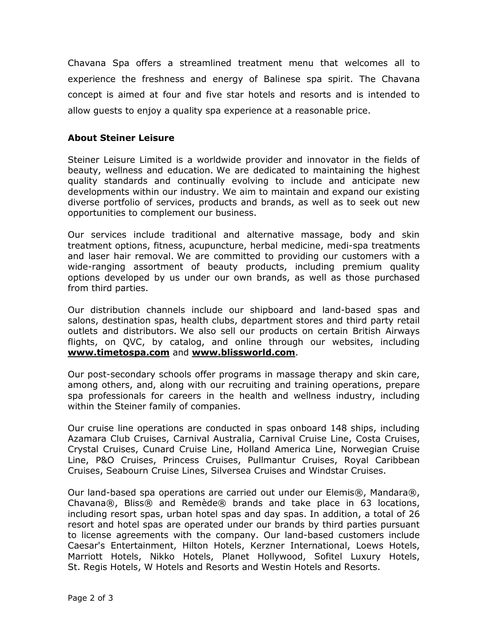Chavana Spa offers a streamlined treatment menu that welcomes all to experience the freshness and energy of Balinese spa spirit. The Chavana concept is aimed at four and five star hotels and resorts and is intended to allow guests to enjoy a quality spa experience at a reasonable price.

## **About Steiner Leisure**

Steiner Leisure Limited is a worldwide provider and innovator in the fields of beauty, wellness and education. We are dedicated to maintaining the highest quality standards and continually evolving to include and anticipate new developments within our industry. We aim to maintain and expand our existing diverse portfolio of services, products and brands, as well as to seek out new opportunities to complement our business.

Our services include traditional and alternative massage, body and skin treatment options, fitness, acupuncture, herbal medicine, medi-spa treatments and laser hair removal. We are committed to providing our customers with a wide-ranging assortment of beauty products, including premium quality options developed by us under our own brands, as well as those purchased from third parties.

Our distribution channels include our shipboard and land-based spas and salons, destination spas, health clubs, department stores and third party retail outlets and distributors. We also sell our products on certain British Airways flights, on QVC, by catalog, and online through our websites, including **[www.timetospa.com](http://www.timetospa.com/)** and **[www.blissworld.com](http://www.blissworld.com/)**.

Our post-secondary schools offer programs in massage therapy and skin care, among others, and, along with our recruiting and training operations, prepare spa professionals for careers in the health and wellness industry, including within the Steiner family of companies.

Our cruise line operations are conducted in spas onboard 148 ships, including Azamara Club Cruises, Carnival Australia, Carnival Cruise Line, Costa Cruises, Crystal Cruises, Cunard Cruise Line, Holland America Line, Norwegian Cruise Line, P&O Cruises, Princess Cruises, Pullmantur Cruises, Royal Caribbean Cruises, Seabourn Cruise Lines, Silversea Cruises and Windstar Cruises.

Our land-based spa operations are carried out under our Elemis®, Mandara®, Chavana®, Bliss® and Remède® brands and take place in 63 locations, including resort spas, urban hotel spas and day spas. In addition, a total of 26 resort and hotel spas are operated under our brands by third parties pursuant to license agreements with the company. Our land-based customers include Caesar's Entertainment, Hilton Hotels, Kerzner International, Loews Hotels, Marriott Hotels, Nikko Hotels, Planet Hollywood, Sofitel Luxury Hotels, St. Regis Hotels, W Hotels and Resorts and Westin Hotels and Resorts.